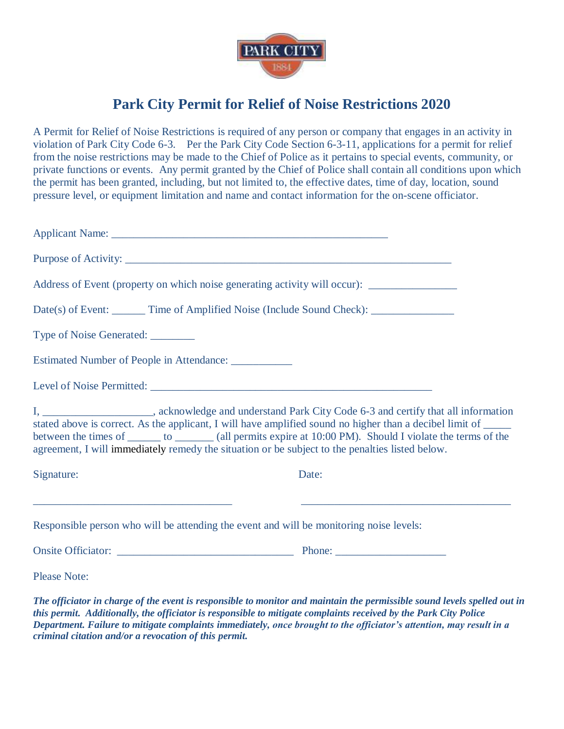

## **Park City Permit for Relief of Noise Restrictions 2020**

A Permit for Relief of Noise Restrictions is required of any person or company that engages in an activity in violation of Park City Code 6-3. Per the Park City Code Section 6-3-11, applications for a permit for relief from the noise restrictions may be made to the Chief of Police as it pertains to special events, community, or private functions or events. Any permit granted by the Chief of Police shall contain all conditions upon which the permit has been granted, including, but not limited to, the effective dates, time of day, location, sound pressure level, or equipment limitation and name and contact information for the on-scene officiator.

| Address of Event (property on which noise generating activity will occur):                                                                                                                                                                                                                                                                                                                                                                        |       |  |  |  |  |  |  |
|---------------------------------------------------------------------------------------------------------------------------------------------------------------------------------------------------------------------------------------------------------------------------------------------------------------------------------------------------------------------------------------------------------------------------------------------------|-------|--|--|--|--|--|--|
| Date(s) of Event: _______ Time of Amplified Noise (Include Sound Check): ______________                                                                                                                                                                                                                                                                                                                                                           |       |  |  |  |  |  |  |
| Type of Noise Generated: ________                                                                                                                                                                                                                                                                                                                                                                                                                 |       |  |  |  |  |  |  |
| Estimated Number of People in Attendance: ___________                                                                                                                                                                                                                                                                                                                                                                                             |       |  |  |  |  |  |  |
|                                                                                                                                                                                                                                                                                                                                                                                                                                                   |       |  |  |  |  |  |  |
| I, ________________________, acknowledge and understand Park City Code 6-3 and certify that all information<br>stated above is correct. As the applicant, I will have amplified sound no higher than a decibel limit of _____<br>between the times of ________ to ________ (all permits expire at 10:00 PM). Should I violate the terms of the<br>agreement, I will immediately remedy the situation or be subject to the penalties listed below. |       |  |  |  |  |  |  |
| Signature:                                                                                                                                                                                                                                                                                                                                                                                                                                        | Date: |  |  |  |  |  |  |
| <u> 1989 - Johann Harry Harry Harry Harry Harry Harry Harry Harry Harry Harry Harry Harry Harry Harry Harry Harry</u><br>Responsible person who will be attending the event and will be monitoring noise levels:                                                                                                                                                                                                                                  |       |  |  |  |  |  |  |
|                                                                                                                                                                                                                                                                                                                                                                                                                                                   |       |  |  |  |  |  |  |
| <b>Please Note:</b>                                                                                                                                                                                                                                                                                                                                                                                                                               |       |  |  |  |  |  |  |
| The officiator in charge of the event is responsible to monitor and maintain the permissible sound levels spelled out in                                                                                                                                                                                                                                                                                                                          |       |  |  |  |  |  |  |

*this permit. Additionally, the officiator is responsible to mitigate complaints received by the Park City Police Department. Failure to mitigate complaints immediately, once brought to the officiator's attention, may result in a criminal citation and/or a revocation of this permit.*